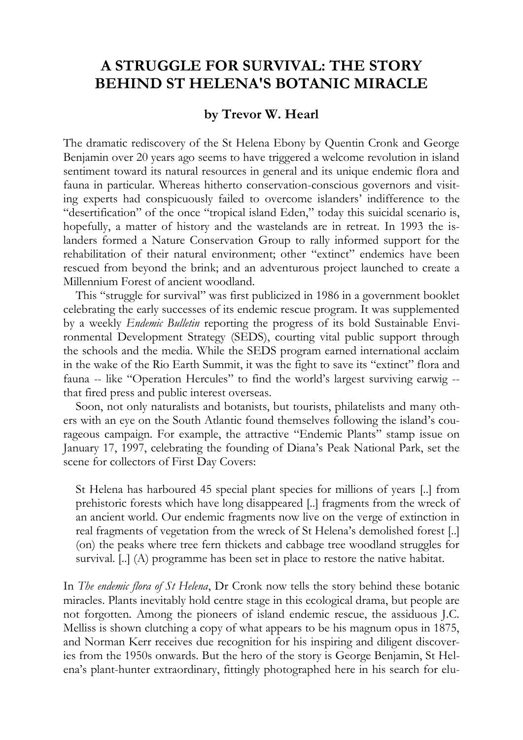## **A STRUGGLE FOR SURVIVAL: THE STORY BEHIND ST HELENA'S BOTANIC MIRACLE**

## **by Trevor W. Hearl**

The dramatic rediscovery of the St Helena Ebony by Quentin Cronk and George Benjamin over 20 years ago seems to have triggered a welcome revolution in island sentiment toward its natural resources in general and its unique endemic flora and fauna in particular. Whereas hitherto conservation-conscious governors and visiting experts had conspicuously failed to overcome islanders' indifference to the "desertification" of the once "tropical island Eden," today this suicidal scenario is, hopefully, a matter of history and the wastelands are in retreat. In 1993 the islanders formed a Nature Conservation Group to rally informed support for the rehabilitation of their natural environment; other "extinct" endemics have been rescued from beyond the brink; and an adventurous project launched to create a Millennium Forest of ancient woodland.

This "struggle for survival" was first publicized in 1986 in a government booklet celebrating the early successes of its endemic rescue program. It was supplemented by a weekly *Endemic Bulletin* reporting the progress of its bold Sustainable Environmental Development Strategy (SEDS), courting vital public support through the schools and the media. While the SEDS program earned international acclaim in the wake of the Rio Earth Summit, it was the fight to save its "extinct" flora and fauna -- like "Operation Hercules" to find the world's largest surviving earwig - that fired press and public interest overseas.

Soon, not only naturalists and botanists, but tourists, philatelists and many others with an eye on the South Atlantic found themselves following the island's courageous campaign. For example, the attractive "Endemic Plants" stamp issue on January 17, 1997, celebrating the founding of Diana's Peak National Park, set the scene for collectors of First Day Covers:

St Helena has harboured 45 special plant species for millions of years [..] from prehistoric forests which have long disappeared [..] fragments from the wreck of an ancient world. Our endemic fragments now live on the verge of extinction in real fragments of vegetation from the wreck of St Helena's demolished forest [..] (on) the peaks where tree fern thickets and cabbage tree woodland struggles for survival. [..] (A) programme has been set in place to restore the native habitat.

In *The endemic flora of St Helena*, Dr Cronk now tells the story behind these botanic miracles. Plants inevitably hold centre stage in this ecological drama, but people are not forgotten. Among the pioneers of island endemic rescue, the assiduous J.C. Melliss is shown clutching a copy of what appears to be his magnum opus in 1875, and Norman Kerr receives due recognition for his inspiring and diligent discoveries from the 1950s onwards. But the hero of the story is George Benjamin, St Helena's plant-hunter extraordinary, fittingly photographed here in his search for elu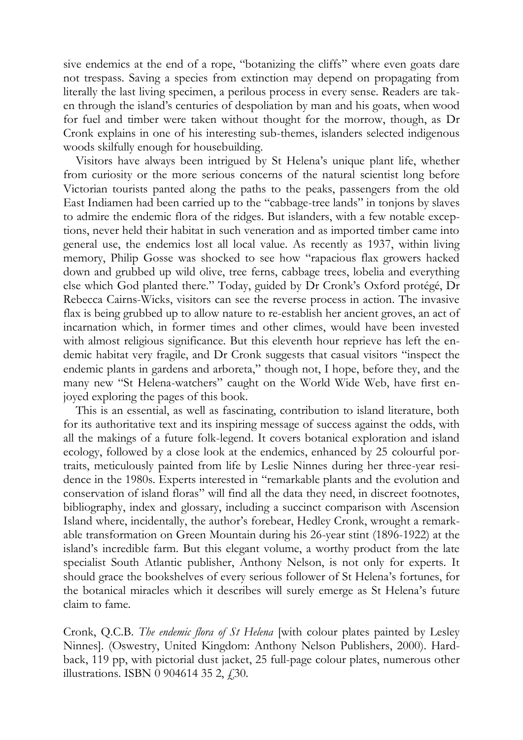sive endemics at the end of a rope, "botanizing the cliffs" where even goats dare not trespass. Saving a species from extinction may depend on propagating from literally the last living specimen, a perilous process in every sense. Readers are taken through the island's centuries of despoliation by man and his goats, when wood for fuel and timber were taken without thought for the morrow, though, as Dr Cronk explains in one of his interesting sub-themes, islanders selected indigenous woods skilfully enough for housebuilding.

Visitors have always been intrigued by St Helena's unique plant life, whether from curiosity or the more serious concerns of the natural scientist long before Victorian tourists panted along the paths to the peaks, passengers from the old East Indiamen had been carried up to the "cabbage-tree lands" in tonjons by slaves to admire the endemic flora of the ridges. But islanders, with a few notable exceptions, never held their habitat in such veneration and as imported timber came into general use, the endemics lost all local value. As recently as 1937, within living memory, Philip Gosse was shocked to see how "rapacious flax growers hacked down and grubbed up wild olive, tree ferns, cabbage trees, lobelia and everything else which God planted there." Today, guided by Dr Cronk's Oxford protégé, Dr Rebecca Cairns-Wicks, visitors can see the reverse process in action. The invasive flax is being grubbed up to allow nature to re-establish her ancient groves, an act of incarnation which, in former times and other climes, would have been invested with almost religious significance. But this eleventh hour reprieve has left the endemic habitat very fragile, and Dr Cronk suggests that casual visitors "inspect the endemic plants in gardens and arboreta," though not, I hope, before they, and the many new "St Helena-watchers" caught on the World Wide Web, have first enjoyed exploring the pages of this book.

This is an essential, as well as fascinating, contribution to island literature, both for its authoritative text and its inspiring message of success against the odds, with all the makings of a future folk-legend. It covers botanical exploration and island ecology, followed by a close look at the endemics, enhanced by 25 colourful portraits, meticulously painted from life by Leslie Ninnes during her three-year residence in the 1980s. Experts interested in "remarkable plants and the evolution and conservation of island floras" will find all the data they need, in discreet footnotes, bibliography, index and glossary, including a succinct comparison with Ascension Island where, incidentally, the author's forebear, Hedley Cronk, wrought a remarkable transformation on Green Mountain during his 26-year stint (1896-1922) at the island's incredible farm. But this elegant volume, a worthy product from the late specialist South Atlantic publisher, Anthony Nelson, is not only for experts. It should grace the bookshelves of every serious follower of St Helena's fortunes, for the botanical miracles which it describes will surely emerge as St Helena's future claim to fame.

Cronk, Q.C.B. *The endemic flora of St Helena* [with colour plates painted by Lesley Ninnes]. (Oswestry, United Kingdom: Anthony Nelson Publishers, 2000). Hardback, 119 pp, with pictorial dust jacket, 25 full-page colour plates, numerous other illustrations. ISBN 0 904614 35 2,  $\dot{f}$  30.